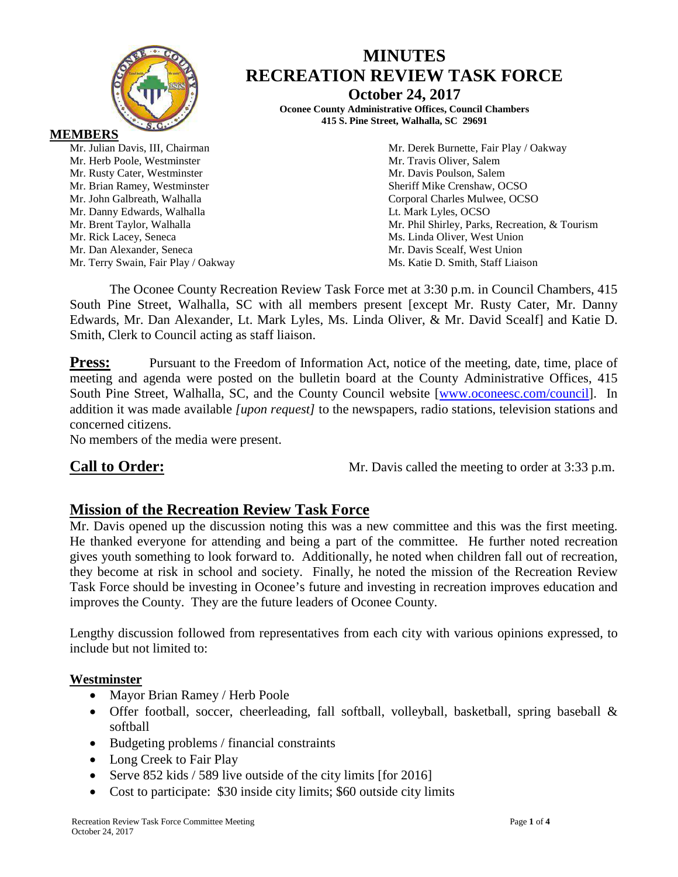

Mr. Dan Alexander, Seneca

# **MINUTES RECREATION REVIEW TASK FORCE October 24, 2017**

**Oconee County Administrative Offices, Council Chambers 415 S. Pine Street, Walhalla, SC 29691**

Mr. Julian Davis, III, Chairman Mr. Derek Burnette, Fair Play / Oakway Mr. Herb Poole, Westminster Mr. Travis Oliver, Salem Mr. Rusty Cater, Westminster Mr. Davis Poulson, Salem Mr. Brian Ramey, Westminster Sheriff Mike Crenshaw, OCSO Mr. John Galbreath, Walhalla Corporal Charles Mulwee, OCSO Mr. Danny Edwards, Walhalla **Letter and Luis Containers** Lt. Mark Lyles, OCSO Mr. Brent Taylor, Walhalla Mr. Phil Shirley, Parks, Recreation, & Tourism Mr. Rick Lacey, Seneca<br>
Mr. Dan Alexander, Seneca<br>
Mr. Davis Scealf, West Union<br>
Mr. Davis Scealf, West Union Mr. Terry Swain, Fair Play / Oakway Ms. Katie D. Smith, Staff Liaison

The Oconee County Recreation Review Task Force met at 3:30 p.m. in Council Chambers, 415 South Pine Street, Walhalla, SC with all members present [except Mr. Rusty Cater, Mr. Danny Edwards, Mr. Dan Alexander, Lt. Mark Lyles, Ms. Linda Oliver, & Mr. David Scealf] and Katie D. Smith, Clerk to Council acting as staff liaison.

**Press:** Pursuant to the Freedom of Information Act, notice of the meeting, date, time, place of meeting and agenda were posted on the bulletin board at the County Administrative Offices, 415 South Pine Street, Walhalla, SC, and the County Council website [\[www.oconeesc.com/council\]](http://www.oconeesc.com/council). In addition it was made available *[upon request]* to the newspapers, radio stations, television stations and concerned citizens.

No members of the media were present.

**Call to Order:** Mr. Davis called the meeting to order at 3:33 p.m.

## **Mission of the Recreation Review Task Force**

Mr. Davis opened up the discussion noting this was a new committee and this was the first meeting. He thanked everyone for attending and being a part of the committee. He further noted recreation gives youth something to look forward to. Additionally, he noted when children fall out of recreation, they become at risk in school and society. Finally, he noted the mission of the Recreation Review Task Force should be investing in Oconee's future and investing in recreation improves education and improves the County. They are the future leaders of Oconee County.

Lengthy discussion followed from representatives from each city with various opinions expressed, to include but not limited to:

### **Westminster**

- Mayor Brian Ramey / Herb Poole
- Offer football, soccer, cheerleading, fall softball, volleyball, basketball, spring baseball & softball
- Budgeting problems / financial constraints
- Long Creek to Fair Play
- Serve 852 kids / 589 live outside of the city limits [for 2016]
- Cost to participate: \$30 inside city limits; \$60 outside city limits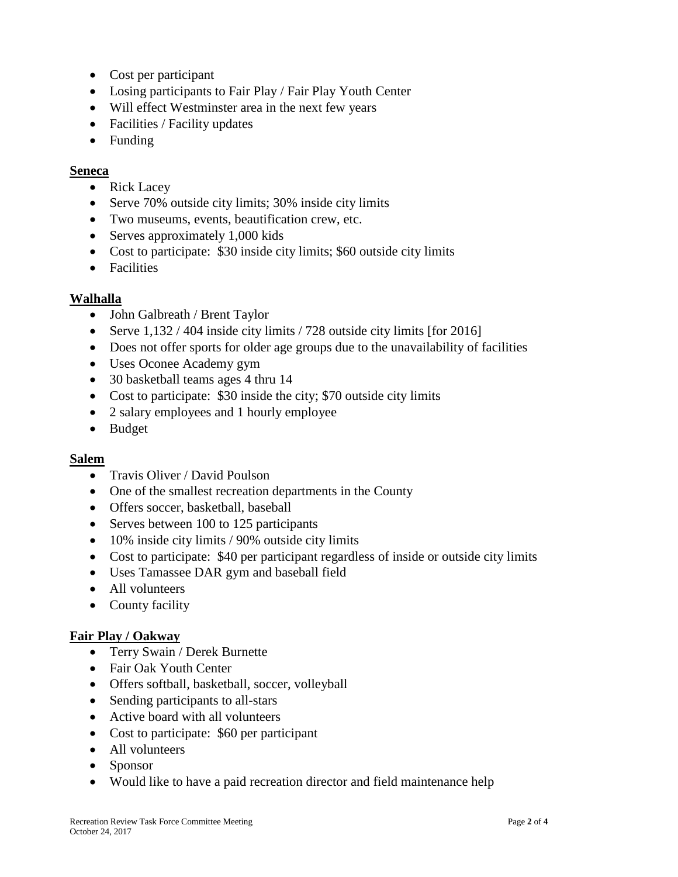- Cost per participant
- Losing participants to Fair Play / Fair Play Youth Center
- Will effect Westminster area in the next few years
- Facilities / Facility updates
- Funding

#### **Seneca**

- Rick Lacey
- Serve 70% outside city limits; 30% inside city limits
- Two museums, events, beautification crew, etc.
- Serves approximately 1,000 kids
- Cost to participate: \$30 inside city limits; \$60 outside city limits
- Facilities

### **Walhalla**

- John Galbreath / Brent Taylor
- Serve 1,132 / 404 inside city limits / 728 outside city limits [for 2016]
- Does not offer sports for older age groups due to the unavailability of facilities
- Uses Oconee Academy gym
- 30 basketball teams ages 4 thru 14
- Cost to participate: \$30 inside the city; \$70 outside city limits
- 2 salary employees and 1 hourly employee
- Budget

### **Salem**

- Travis Oliver / David Poulson
- One of the smallest recreation departments in the County
- Offers soccer, basketball, baseball
- Serves between 100 to 125 participants
- 10% inside city limits / 90% outside city limits
- Cost to participate: \$40 per participant regardless of inside or outside city limits
- Uses Tamassee DAR gym and baseball field
- All volunteers
- County facility

### **Fair Play / Oakway**

- Terry Swain / Derek Burnette
- Fair Oak Youth Center
- Offers softball, basketball, soccer, volleyball
- Sending participants to all-stars
- Active board with all volunteers
- Cost to participate: \$60 per participant
- All volunteers
- Sponsor
- Would like to have a paid recreation director and field maintenance help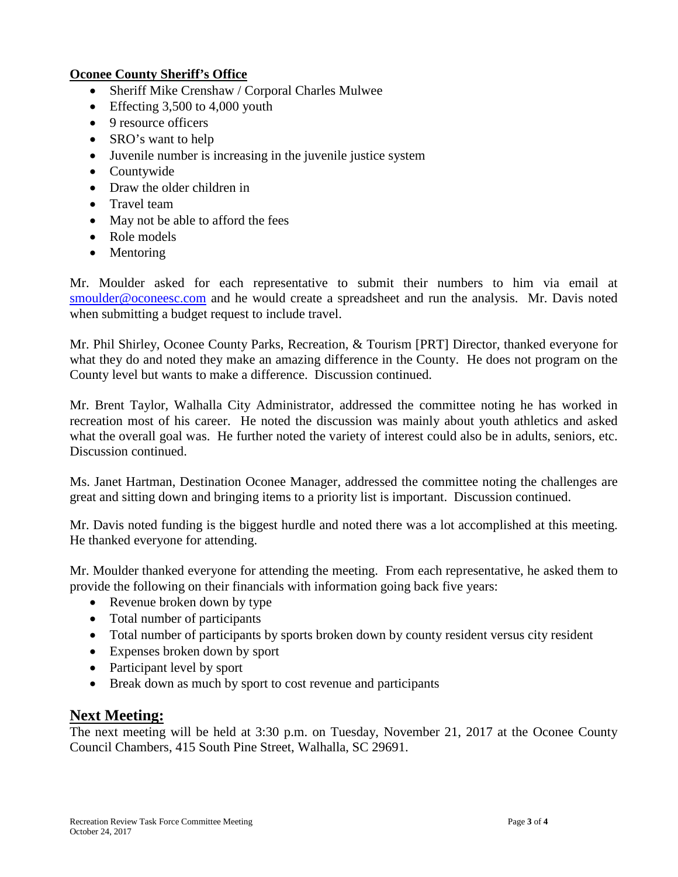#### **Oconee County Sheriff's Office**

- Sheriff Mike Crenshaw / Corporal Charles Mulwee
- Effecting 3,500 to 4,000 youth
- 9 resource officers
- SRO's want to help
- Juvenile number is increasing in the juvenile justice system
- Countywide
- Draw the older children in
- Travel team
- May not be able to afford the fees
- Role models
- Mentoring

Mr. Moulder asked for each representative to submit their numbers to him via email at [smoulder@oconeesc.com](mailto:smoulder@oconeesc.com) and he would create a spreadsheet and run the analysis. Mr. Davis noted when submitting a budget request to include travel.

Mr. Phil Shirley, Oconee County Parks, Recreation, & Tourism [PRT] Director, thanked everyone for what they do and noted they make an amazing difference in the County. He does not program on the County level but wants to make a difference. Discussion continued.

Mr. Brent Taylor, Walhalla City Administrator, addressed the committee noting he has worked in recreation most of his career. He noted the discussion was mainly about youth athletics and asked what the overall goal was. He further noted the variety of interest could also be in adults, seniors, etc. Discussion continued.

Ms. Janet Hartman, Destination Oconee Manager, addressed the committee noting the challenges are great and sitting down and bringing items to a priority list is important. Discussion continued.

Mr. Davis noted funding is the biggest hurdle and noted there was a lot accomplished at this meeting. He thanked everyone for attending.

Mr. Moulder thanked everyone for attending the meeting. From each representative, he asked them to provide the following on their financials with information going back five years:

- Revenue broken down by type
- Total number of participants
- Total number of participants by sports broken down by county resident versus city resident
- Expenses broken down by sport
- Participant level by sport
- Break down as much by sport to cost revenue and participants

## **Next Meeting:**

The next meeting will be held at 3:30 p.m. on Tuesday, November 21, 2017 at the Oconee County Council Chambers, 415 South Pine Street, Walhalla, SC 29691.